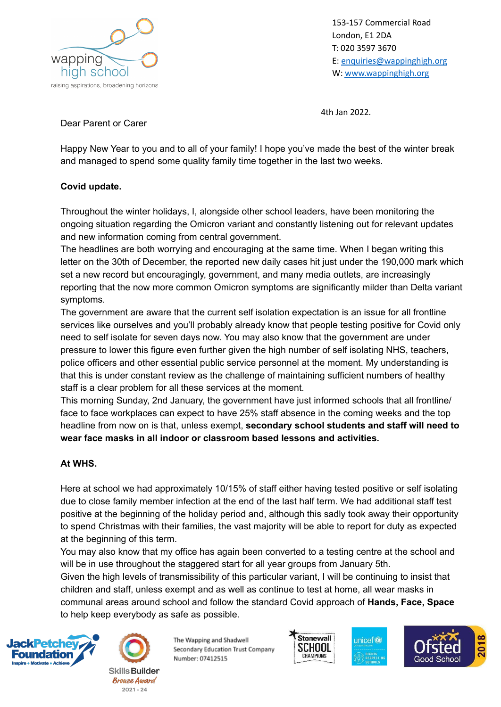

153-157 Commercial Road London, E1 2DA T: 020 3597 3670 E: [enquiries@wappinghigh.org](mailto:enquiries@wappinghigh.org) W: [www.wappinghigh.org](http://www.wappinghigh.org)

4th Jan 2022.

Dear Parent or Carer

Happy New Year to you and to all of your family! I hope you've made the best of the winter break and managed to spend some quality family time together in the last two weeks.

## **Covid update.**

Throughout the winter holidays, I, alongside other school leaders, have been monitoring the ongoing situation regarding the Omicron variant and constantly listening out for relevant updates and new information coming from central government.

The headlines are both worrying and encouraging at the same time. When I began writing this letter on the 30th of December, the reported new daily cases hit just under the 190,000 mark which set a new record but encouragingly, government, and many media outlets, are increasingly reporting that the now more common Omicron symptoms are significantly milder than Delta variant symptoms.

The government are aware that the current self isolation expectation is an issue for all frontline services like ourselves and you'll probably already know that people testing positive for Covid only need to self isolate for seven days now. You may also know that the government are under pressure to lower this figure even further given the high number of self isolating NHS, teachers, police officers and other essential public service personnel at the moment. My understanding is that this is under constant review as the challenge of maintaining sufficient numbers of healthy staff is a clear problem for all these services at the moment.

This morning Sunday, 2nd January, the government have just informed schools that all frontline/ face to face workplaces can expect to have 25% staff absence in the coming weeks and the top headline from now on is that, unless exempt, **secondary school students and staff will need to wear face masks in all indoor or classroom based lessons and activities.**

## **At WHS.**

Here at school we had approximately 10/15% of staff either having tested positive or self isolating due to close family member infection at the end of the last half term. We had additional staff test positive at the beginning of the holiday period and, although this sadly took away their opportunity to spend Christmas with their families, the vast majority will be able to report for duty as expected at the beginning of this term.

You may also know that my office has again been converted to a testing centre at the school and will be in use throughout the staggered start for all year groups from January 5th.

Given the high levels of transmissibility of this particular variant, I will be continuing to insist that children and staff, unless exempt and as well as continue to test at home, all wear masks in communal areas around school and follow the standard Covid approach of **Hands, Face, Space** to help keep everybody as safe as possible.





The Wapping and Shadwell Secondary Education Trust Company Number: 07412515





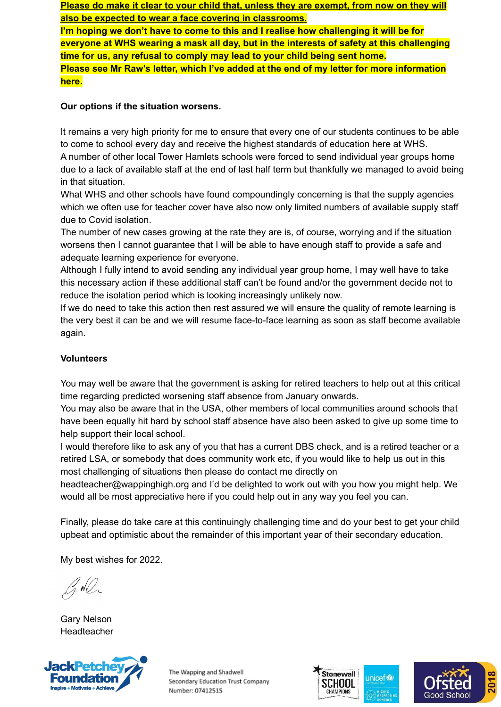**Please do make it clear to your child that, unless they are exempt, from now on they will also be expected to wear a face covering in classrooms.**

**I'm hoping we don't have to come to this and I realise how challenging it will be for everyone at WHS wearing a mask all day, but in the interests of safety at this challenging time for us, any refusal to comply may lead to your child being sent home. Please see Mr Raw's letter, which I've added at the end of my letter for more information here.**

# **Our options if the situation worsens.**

It remains a very high priority for me to ensure that every one of our students continues to be able to come to school every day and receive the highest standards of education here at WHS. A number of other local Tower Hamlets schools were forced to send individual year groups home due to a lack of available staff at the end of last half term but thankfully we managed to avoid being in that situation.

What WHS and other schools have found compoundingly concerning is that the supply agencies which we often use for teacher cover have also now only limited numbers of available supply staff due to Covid isolation.

The number of new cases growing at the rate they are is, of course, worrying and if the situation worsens then I cannot guarantee that I will be able to have enough staff to provide a safe and adequate learning experience for everyone.

Although I fully intend to avoid sending any individual year group home, I may well have to take this necessary action if these additional staff can't be found and/or the government decide not to reduce the isolation period which is looking increasingly unlikely now.

If we do need to take this action then rest assured we will ensure the quality of remote learning is the very best it can be and we will resume face-to-face learning as soon as staff become available again.

# **Volunteers**

You may well be aware that the government is asking for retired teachers to help out at this critical time regarding predicted worsening staff absence from January onwards.

You may also be aware that in the USA, other members of local communities around schools that have been equally hit hard by school staff absence have also been asked to give up some time to help support their local school.

I would therefore like to ask any of you that has a current DBS check, and is a retired teacher or a retired LSA, or somebody that does community work etc, if you would like to help us out in this most challenging of situations then please do contact me directly on

headteacher@wappinghigh.org and I'd be delighted to work out with you how you might help. We would all be most appreciative here if you could help out in any way you feel you can.

Finally, please do take care at this continuingly challenging time and do your best to get your child upbeat and optimistic about the remainder of this important year of their secondary education.

My best wishes for 2022.

Gary Nelson Headteacher



The Wapping and Shadwell Secondary Education Trust Company Number: 07412515